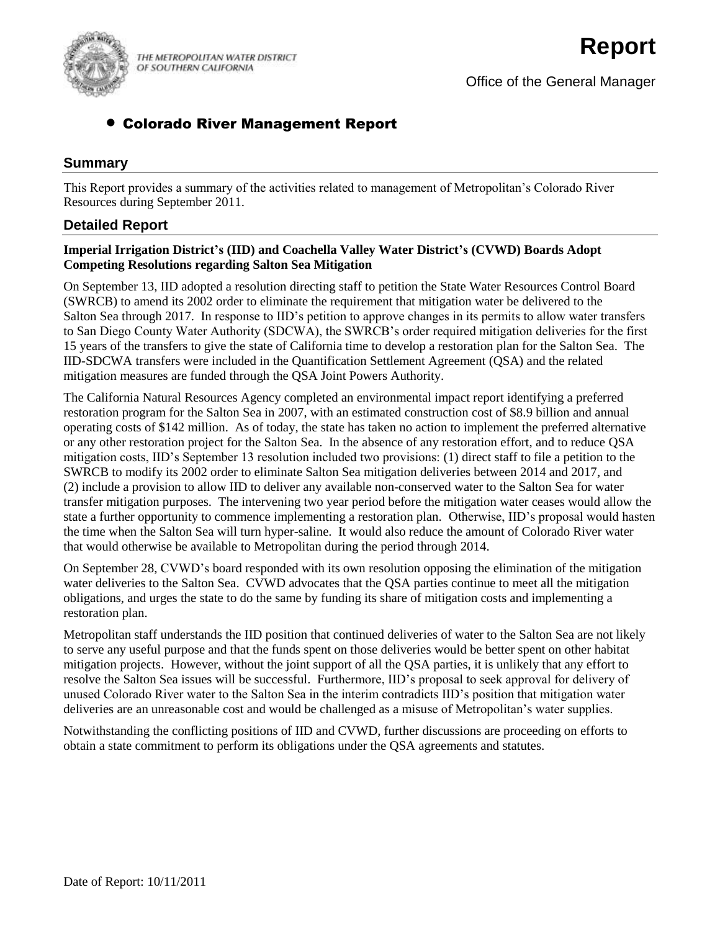

THE METROPOLITAN WATER DISTRICT OF SOUTHERN CALIFORNIA

# Colorado River Management Report

## **Summary**

This Report provides a summary of the activities related to management of Metropolitan's Colorado River Resources during September 2011.

## **Detailed Report**

#### **Imperial Irrigation District's (IID) and Coachella Valley Water District's (CVWD) Boards Adopt Competing Resolutions regarding Salton Sea Mitigation**

On September 13, IID adopted a resolution directing staff to petition the State Water Resources Control Board (SWRCB) to amend its 2002 order to eliminate the requirement that mitigation water be delivered to the Salton Sea through 2017. In response to IID's petition to approve changes in its permits to allow water transfers to San Diego County Water Authority (SDCWA), the SWRCB's order required mitigation deliveries for the first 15 years of the transfers to give the state of California time to develop a restoration plan for the Salton Sea. The IID-SDCWA transfers were included in the Quantification Settlement Agreement (QSA) and the related mitigation measures are funded through the QSA Joint Powers Authority.

The California Natural Resources Agency completed an environmental impact report identifying a preferred restoration program for the Salton Sea in 2007, with an estimated construction cost of \$8.9 billion and annual operating costs of \$142 million. As of today, the state has taken no action to implement the preferred alternative or any other restoration project for the Salton Sea. In the absence of any restoration effort, and to reduce QSA mitigation costs, IID's September 13 resolution included two provisions: (1) direct staff to file a petition to the SWRCB to modify its 2002 order to eliminate Salton Sea mitigation deliveries between 2014 and 2017, and (2) include a provision to allow IID to deliver any available non-conserved water to the Salton Sea for water transfer mitigation purposes. The intervening two year period before the mitigation water ceases would allow the state a further opportunity to commence implementing a restoration plan. Otherwise, IID's proposal would hasten the time when the Salton Sea will turn hyper-saline. It would also reduce the amount of Colorado River water that would otherwise be available to Metropolitan during the period through 2014.

On September 28, CVWD's board responded with its own resolution opposing the elimination of the mitigation water deliveries to the Salton Sea. CVWD advocates that the QSA parties continue to meet all the mitigation obligations, and urges the state to do the same by funding its share of mitigation costs and implementing a restoration plan.

Metropolitan staff understands the IID position that continued deliveries of water to the Salton Sea are not likely to serve any useful purpose and that the funds spent on those deliveries would be better spent on other habitat mitigation projects. However, without the joint support of all the QSA parties, it is unlikely that any effort to resolve the Salton Sea issues will be successful. Furthermore, IID's proposal to seek approval for delivery of unused Colorado River water to the Salton Sea in the interim contradicts IID's position that mitigation water deliveries are an unreasonable cost and would be challenged as a misuse of Metropolitan's water supplies.

Notwithstanding the conflicting positions of IID and CVWD, further discussions are proceeding on efforts to obtain a state commitment to perform its obligations under the QSA agreements and statutes.